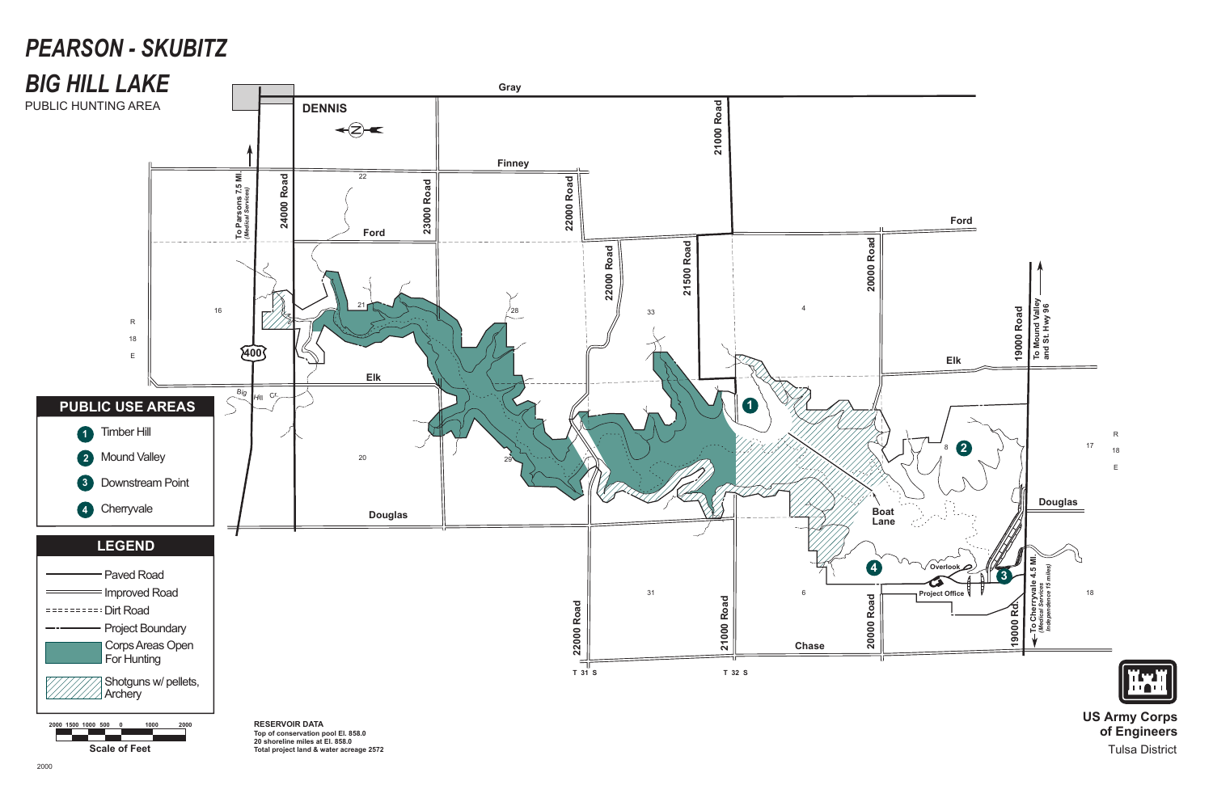**US Army Corps of Engineers** Tulsa District



# *PEARSON - SKUBITZ*

**Scale of Feet**



**20 shoreline miles at El. 858.0 Total project land & water acreage 2572**